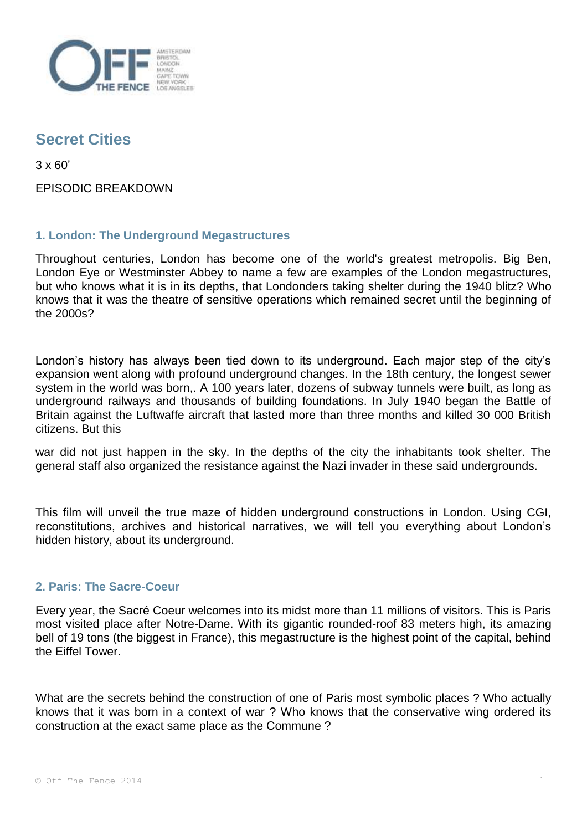

## **Secret Cities**

3 x 60'

EPISODIC BREAKDOWN

## **1. London: The Underground Megastructures**

Throughout centuries, London has become one of the world's greatest metropolis. Big Ben, London Eye or Westminster Abbey to name a few are examples of the London megastructures, but who knows what it is in its depths, that Londonders taking shelter during the 1940 blitz? Who knows that it was the theatre of sensitive operations which remained secret until the beginning of the 2000s?

London's history has always been tied down to its underground. Each major step of the city's expansion went along with profound underground changes. In the 18th century, the longest sewer system in the world was born,. A 100 years later, dozens of subway tunnels were built, as long as underground railways and thousands of building foundations. In July 1940 began the Battle of Britain against the Luftwaffe aircraft that lasted more than three months and killed 30 000 British citizens. But this

war did not just happen in the sky. In the depths of the city the inhabitants took shelter. The general staff also organized the resistance against the Nazi invader in these said undergrounds.

This film will unveil the true maze of hidden underground constructions in London. Using CGI, reconstitutions, archives and historical narratives, we will tell you everything about London's hidden history, about its underground.

## **2. Paris: The Sacre-Coeur**

Every year, the Sacré Coeur welcomes into its midst more than 11 millions of visitors. This is Paris most visited place after Notre-Dame. With its gigantic rounded-roof 83 meters high, its amazing bell of 19 tons (the biggest in France), this megastructure is the highest point of the capital, behind the Eiffel Tower.

What are the secrets behind the construction of one of Paris most symbolic places ? Who actually knows that it was born in a context of war ? Who knows that the conservative wing ordered its construction at the exact same place as the Commune ?